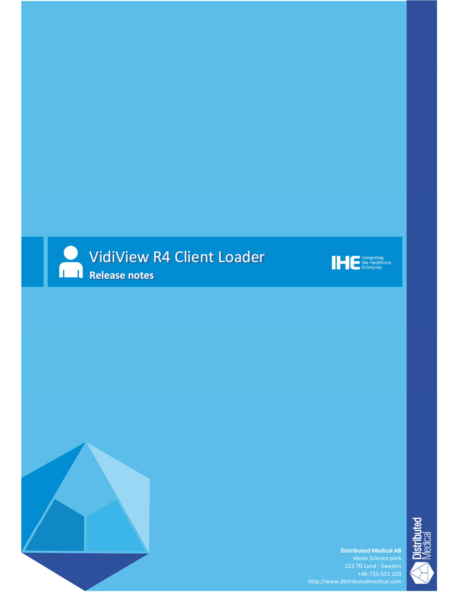





Distributed Medical AB

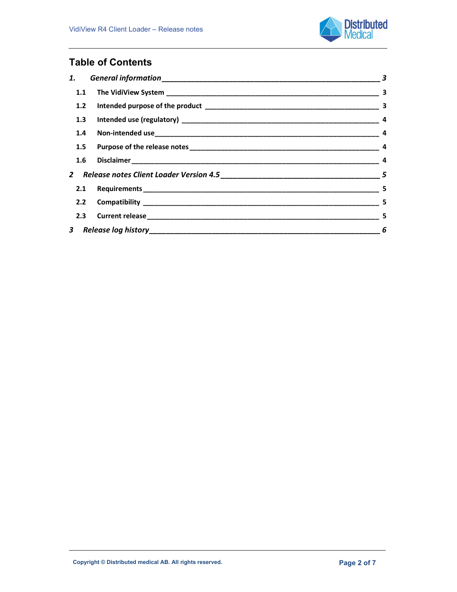

# Table of Contents

|  |  | $\sim$ 5                   |
|--|--|----------------------------|
|  |  |                            |
|  |  |                            |
|  |  | $\overline{\phantom{a}}$ 6 |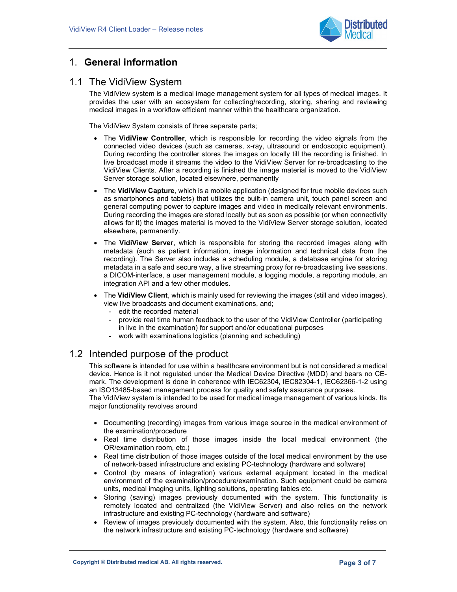

# 1. General information

## 1.1 The VidiView System

The VidiView system is a medical image management system for all types of medical images. It provides the user with an ecosystem for collecting/recording, storing, sharing and reviewing medical images in a workflow efficient manner within the healthcare organization.

The VidiView System consists of three separate parts;

- The VidiView Controller, which is responsible for recording the video signals from the connected video devices (such as cameras, x-ray, ultrasound or endoscopic equipment). During recording the controller stores the images on locally till the recording is finished. In live broadcast mode it streams the video to the VidiView Server for re-broadcasting to the VidiView Clients. After a recording is finished the image material is moved to the VidiView Server storage solution, located elsewhere, permanently
- The VidiView Capture, which is a mobile application (designed for true mobile devices such as smartphones and tablets) that utilizes the built-in camera unit, touch panel screen and general computing power to capture images and video in medically relevant environments. During recording the images are stored locally but as soon as possible (or when connectivity allows for it) the images material is moved to the VidiView Server storage solution, located elsewhere, permanently.
- The VidiView Server, which is responsible for storing the recorded images along with metadata (such as patient information, image information and technical data from the recording). The Server also includes a scheduling module, a database engine for storing metadata in a safe and secure way, a live streaming proxy for re-broadcasting live sessions, a DICOM-interface, a user management module, a logging module, a reporting module, an integration API and a few other modules.
- The VidiView Client, which is mainly used for reviewing the images (still and video images), view live broadcasts and document examinations, and;
	- edit the recorded material
	- provide real time human feedback to the user of the VidiView Controller (participating in live in the examination) for support and/or educational purposes
	- work with examinations logistics (planning and scheduling)

# 1.2 Intended purpose of the product

This software is intended for use within a healthcare environment but is not considered a medical device. Hence is it not regulated under the Medical Device Directive (MDD) and bears no CEmark. The development is done in coherence with IEC62304, IEC82304-1, IEC62366-1-2 using an ISO13485-based management process for quality and safety assurance purposes.

The VidiView system is intended to be used for medical image management of various kinds. Its major functionality revolves around

- Documenting (recording) images from various image source in the medical environment of the examination/procedure
- Real time distribution of those images inside the local medical environment (the OR/examination room, etc.)
- Real time distribution of those images outside of the local medical environment by the use of network-based infrastructure and existing PC-technology (hardware and software)
- Control (by means of integration) various external equipment located in the medical environment of the examination/procedure/examination. Such equipment could be camera units, medical imaging units, lighting solutions, operating tables etc.
- Storing (saving) images previously documented with the system. This functionality is remotely located and centralized (the VidiView Server) and also relies on the network infrastructure and existing PC-technology (hardware and software)
- Review of images previously documented with the system. Also, this functionality relies on the network infrastructure and existing PC-technology (hardware and software)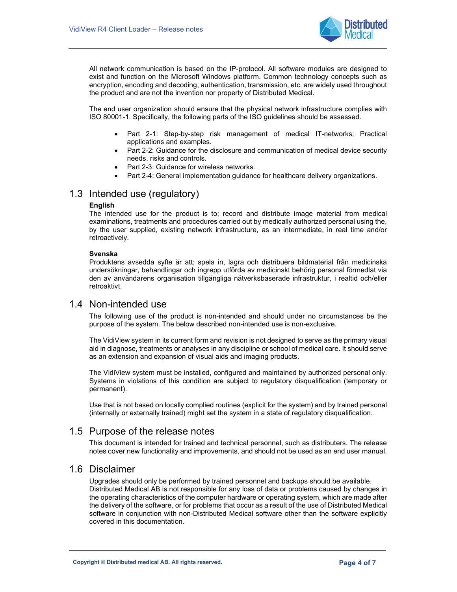

All network communication is based on the IP-protocol. All software modules are designed to exist and function on the Microsoft Windows platform. Common technology concepts such as encryption, encoding and decoding, authentication, transmission, etc. are widely used throughout the product and are not the invention nor property of Distributed Medical.

The end user organization should ensure that the physical network infrastructure complies with ISO 80001-1. Specifically, the following parts of the ISO guidelines should be assessed.

- Part 2-1: Step-by-step risk management of medical IT-networks; Practical applications and examples.
- Part 2-2: Guidance for the disclosure and communication of medical device security needs, risks and controls.
- Part 2-3: Guidance for wireless networks.
- Part 2-4: General implementation guidance for healthcare delivery organizations.

## 1.3 Intended use (regulatory)

#### **English**

The intended use for the product is to; record and distribute image material from medical examinations, treatments and procedures carried out by medically authorized personal using the, by the user supplied, existing network infrastructure, as an intermediate, in real time and/or retroactively.

#### Svenska

Produktens avsedda syfte är att; spela in, lagra och distribuera bildmaterial från medicinska undersökningar, behandlingar och ingrepp utförda av medicinskt behörig personal förmedlat via den av användarens organisation tillgängliga nätverksbaserade infrastruktur, i realtid och/eller retroaktivt.

## 1.4 Non-intended use

The following use of the product is non-intended and should under no circumstances be the purpose of the system. The below described non-intended use is non-exclusive.

The VidiView system in its current form and revision is not designed to serve as the primary visual aid in diagnose, treatments or analyses in any discipline or school of medical care. It should serve as an extension and expansion of visual aids and imaging products.

The VidiView system must be installed, configured and maintained by authorized personal only. Systems in violations of this condition are subject to regulatory disqualification (temporary or permanent).

Use that is not based on locally complied routines (explicit for the system) and by trained personal (internally or externally trained) might set the system in a state of regulatory disqualification.

## 1.5 Purpose of the release notes

This document is intended for trained and technical personnel, such as distributers. The release notes cover new functionality and improvements, and should not be used as an end user manual.

#### 1.6 Disclaimer

Upgrades should only be performed by trained personnel and backups should be available. Distributed Medical AB is not responsible for any loss of data or problems caused by changes in the operating characteristics of the computer hardware or operating system, which are made after the delivery of the software, or for problems that occur as a result of the use of Distributed Medical software in conjunction with non-Distributed Medical software other than the software explicitly covered in this documentation.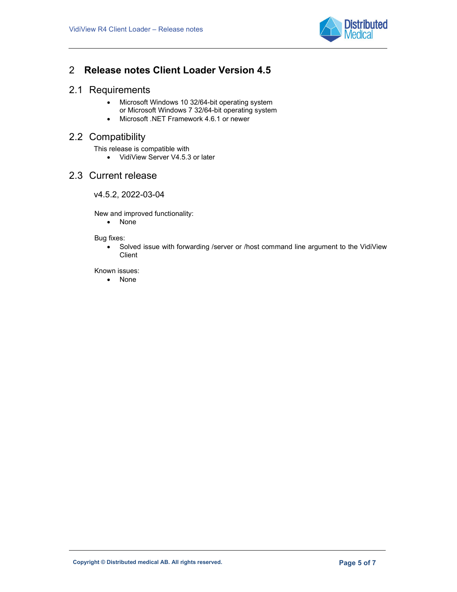

# 2 Release notes Client Loader Version 4.5

## 2.1 Requirements

- Microsoft Windows 10 32/64-bit operating system or Microsoft Windows 7 32/64-bit operating system
- Microsoft .NET Framework 4.6.1 or newer

# 2.2 Compatibility

This release is compatible with

• VidiView Server V4.5.3 or later

## 2.3 Current release

### v4.5.2, 2022-03-04

New and improved functionality:

• None

#### Bug fixes:

 Solved issue with forwarding /server or /host command line argument to the VidiView Client

Known issues:

• None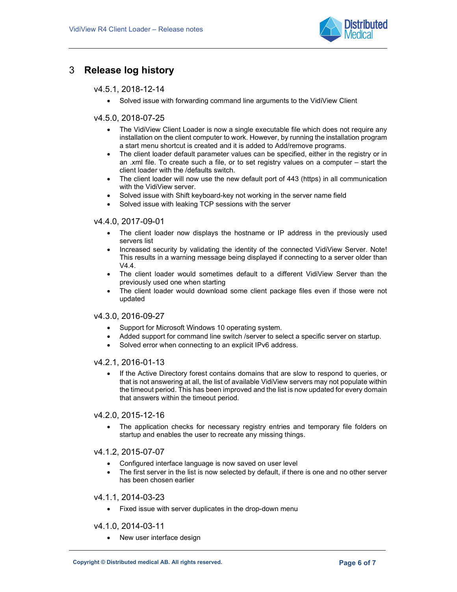

# 3 Release log history

### v4.5.1, 2018-12-14

Solved issue with forwarding command line arguments to the VidiView Client

### v4.5.0, 2018-07-25

- The VidiView Client Loader is now a single executable file which does not require any installation on the client computer to work. However, by running the installation program a start menu shortcut is created and it is added to Add/remove programs.
- The client loader default parameter values can be specified, either in the registry or in an .xml file. To create such a file, or to set registry values on a computer – start the client loader with the /defaults switch.
- The client loader will now use the new default port of 443 (https) in all communication with the VidiView server.
- Solved issue with Shift keyboard-key not working in the server name field
- Solved issue with leaking TCP sessions with the server

#### v4.4.0, 2017-09-01

- The client loader now displays the hostname or IP address in the previously used servers list
- Increased security by validating the identity of the connected VidiView Server. Note! This results in a warning message being displayed if connecting to a server older than  $\sqrt{44}$
- The client loader would sometimes default to a different VidiView Server than the previously used one when starting
- The client loader would download some client package files even if those were not updated

#### v4.3.0, 2016-09-27

- Support for Microsoft Windows 10 operating system.
- Added support for command line switch /server to select a specific server on startup.
- Solved error when connecting to an explicit IPv6 address.

#### v4.2.1, 2016-01-13

• If the Active Directory forest contains domains that are slow to respond to queries, or that is not answering at all, the list of available VidiView servers may not populate within the timeout period. This has been improved and the list is now updated for every domain that answers within the timeout period.

#### v4.2.0, 2015-12-16

• The application checks for necessary registry entries and temporary file folders on startup and enables the user to recreate any missing things.

### v4.1.2, 2015-07-07

- Configured interface language is now saved on user level
- The first server in the list is now selected by default, if there is one and no other server has been chosen earlier

### v4.1.1, 2014-03-23

Fixed issue with server duplicates in the drop-down menu

#### v4.1.0, 2014-03-11

• New user interface design